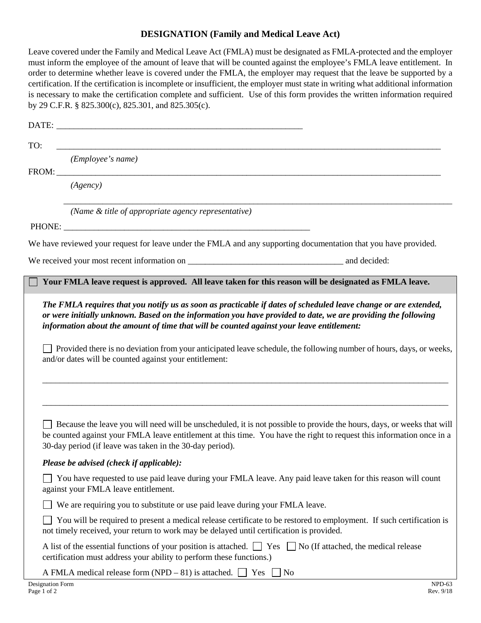## **DESIGNATION (Family and Medical Leave Act)**

Leave covered under the Family and Medical Leave Act (FMLA) must be designated as FMLA-protected and the employer must inform the employee of the amount of leave that will be counted against the employee's FMLA leave entitlement. In order to determine whether leave is covered under the FMLA, the employer may request that the leave be supported by a certification. If the certification is incomplete or insufficient, the employer must state in writing what additional information is necessary to make the certification complete and sufficient. Use of this form provides the written information required by 29 C.F.R. § 825.300(c), 825.301, and 825.305(c).

| DATE: |                   |
|-------|-------------------|
| TO:   |                   |
|       | (Employee's name) |
| FROM: |                   |
|       | (Agency)          |

\_\_\_\_\_\_\_\_\_\_\_\_\_\_\_\_\_\_\_\_\_\_\_\_\_\_\_\_\_\_\_\_\_\_\_\_\_\_\_\_\_\_\_\_\_\_\_\_\_\_\_\_\_\_\_\_\_\_\_\_\_\_\_\_\_\_\_\_\_\_\_\_\_\_\_\_\_\_\_\_\_\_\_\_\_\_\_\_\_\_

*(Name & title of appropriate agency representative)*

PHONE: \_\_\_\_\_\_\_\_\_\_\_\_\_\_\_\_\_\_\_\_\_\_\_\_\_\_\_\_\_\_\_\_\_\_\_\_\_\_\_\_\_\_\_\_\_\_\_\_\_\_\_\_\_\_\_\_\_

We have reviewed your request for leave under the FMLA and any supporting documentation that you have provided.

We received your most recent information on \_\_\_\_\_\_\_\_\_\_\_\_\_\_\_\_\_\_\_\_\_\_\_\_\_\_\_\_\_\_\_\_\_\_\_\_ and decided:

**Your FMLA leave request is approved. All leave taken for this reason will be designated as FMLA leave.**

*The FMLA requires that you notify us as soon as practicable if dates of scheduled leave change or are extended, or were initially unknown. Based on the information you have provided to date, we are providing the following information about the amount of time that will be counted against your leave entitlement:*

Provided there is no deviation from your anticipated leave schedule, the following number of hours, days, or weeks, and/or dates will be counted against your entitlement:

\_\_\_\_\_\_\_\_\_\_\_\_\_\_\_\_\_\_\_\_\_\_\_\_\_\_\_\_\_\_\_\_\_\_\_\_\_\_\_\_\_\_\_\_\_\_\_\_\_\_\_\_\_\_\_\_\_\_\_\_\_\_\_\_\_\_\_\_\_\_\_\_\_\_\_\_\_\_\_\_\_\_\_\_\_\_\_\_\_\_\_\_\_\_

\_\_\_\_\_\_\_\_\_\_\_\_\_\_\_\_\_\_\_\_\_\_\_\_\_\_\_\_\_\_\_\_\_\_\_\_\_\_\_\_\_\_\_\_\_\_\_\_\_\_\_\_\_\_\_\_\_\_\_\_\_\_\_\_\_\_\_\_\_\_\_\_\_\_\_\_\_\_\_\_\_\_\_\_\_\_\_\_\_\_\_\_\_\_

| Because the leave you will need will be unscheduled, it is not possible to provide the hours, days, or weeks that will |  |
|------------------------------------------------------------------------------------------------------------------------|--|
| be counted against your FMLA leave entitlement at this time. You have the right to request this information once in a  |  |
| 30-day period (if leave was taken in the 30-day period).                                                               |  |

## *Please be advised (check if applicable):*

| □ You have requested to use paid leave during your FMLA leave. Any paid leave taken for this reason will count |  |  |
|----------------------------------------------------------------------------------------------------------------|--|--|
| against your FMLA leave entitlement.                                                                           |  |  |

 $\Box$  We are requiring you to substitute or use paid leave during your FMLA leave.

 $\Box$  You will be required to present a medical release certificate to be restored to employment. If such certification is not timely received, your return to work may be delayed until certification is provided.

A list of the essential functions of your position is attached.  $\Box$  Yes  $\Box$  No (If attached, the medical release certification must address your ability to perform these functions.)

A FMLA medical release form (NPD – 81) is attached.  $\Box$  Yes  $\Box$  No